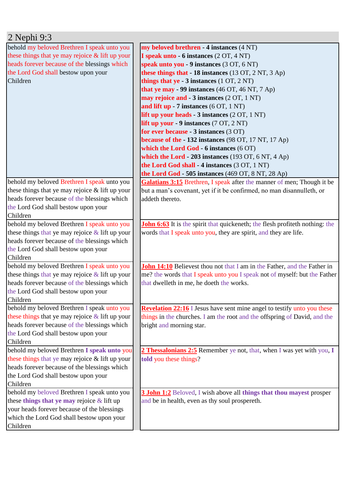| $2$ Nephi 9:3                                      |                                                                                     |
|----------------------------------------------------|-------------------------------------------------------------------------------------|
| behold my beloved Brethren I speak unto you        | my beloved brethren - 4 instances (4 NT)                                            |
| these things that ye may rejoice $\&$ lift up your | I speak unto - 6 instances (2 OT, 4 NT)                                             |
| heads forever because of the blessings which       | speak unto you - 9 instances (3 OT, 6 NT)                                           |
| the Lord God shall bestow upon your                | these things that - 18 instances (13 OT, 2 NT, 3 Ap)                                |
| Children                                           | things that $ye - 3$ instances $(1 OT, 2 NT)$                                       |
|                                                    | that ye may - 99 instances (46 OT, 46 NT, 7 Ap)                                     |
|                                                    | may rejoice and - 3 instances (2 OT, 1 NT)                                          |
|                                                    | and lift up $-7$ instances (6 OT, 1 NT)                                             |
|                                                    | lift up your heads - 3 instances (2 OT, 1 NT)                                       |
|                                                    | lift up your - 9 instances (7 OT, 2 NT)                                             |
|                                                    | for ever because - 3 instances (3 OT)                                               |
|                                                    | because of the - 132 instances (98 OT, 17 NT, 17 Ap)                                |
|                                                    | which the Lord God - 6 instances (6 OT)                                             |
|                                                    | which the Lord - 203 instances $(193 \text{ OT}, 6 \text{ NT}, 4 \text{ Ap})$       |
|                                                    | the Lord God shall - 4 instances (3 OT, 1 NT)                                       |
|                                                    | the Lord God - 505 instances (469 OT, 8 NT, 28 Ap)                                  |
| behold my beloved Brethren I speak unto you        | Galatians 3:15 Brethren, I speak after the manner of men; Though it be              |
| these things that ye may rejoice $\&$ lift up your | but a man's covenant, yet if it be confirmed, no man disannulleth, or               |
| heads forever because of the blessings which       | addeth thereto.                                                                     |
| the Lord God shall bestow upon your<br>Children    |                                                                                     |
| behold my beloved Brethren I speak unto you        | <b>John 6:63</b> It is the spirit that quickeneth; the flesh profiteth nothing: the |
| these things that ye may rejoice $&$ lift up your  | words that I speak unto you, they are spirit, and they are life.                    |
| heads forever because of the blessings which       |                                                                                     |
| the Lord God shall bestow upon your                |                                                                                     |
| Children                                           |                                                                                     |
| behold my beloved Brethren I speak unto you        | John 14:10 Believest thou not that I am in the Father, and the Father in            |
| these things that ye may rejoice $\&$ lift up your | me? the words that I speak unto you I speak not of myself: but the Father           |
| heads forever because of the blessings which       | that dwelleth in me, he doeth the works.                                            |
| the Lord God shall bestow upon your                |                                                                                     |
| Children                                           |                                                                                     |
| behold my beloved Brethren I speak unto you        | <b>Revelation 22:16</b> I Jesus have sent mine angel to testify unto you these      |
| these things that ye may rejoice $\&$ lift up your | things in the churches. I am the root and the offspring of David, and the           |
| heads forever because of the blessings which       | bright and morning star.                                                            |
| the Lord God shall bestow upon your                |                                                                                     |
| Children                                           |                                                                                     |
| behold my beloved Brethren I speak unto you        | 2 Thessalonians 2:5 Remember ye not, that, when I was yet with you, I               |
| these things that ye may rejoice & lift up your    | told you these things?                                                              |
| heads forever because of the blessings which       |                                                                                     |
| the Lord God shall bestow upon your                |                                                                                     |
| Children                                           |                                                                                     |
| behold my beloved Brethren I speak unto you        | <b>3 John 1:2</b> Beloved, I wish above all things that thou may est prosper        |
| these things that ye may rejoice $\&$ lift up      | and be in health, even as thy soul prospereth.                                      |
| your heads forever because of the blessings        |                                                                                     |
| which the Lord God shall bestow upon your          |                                                                                     |
| Children                                           |                                                                                     |